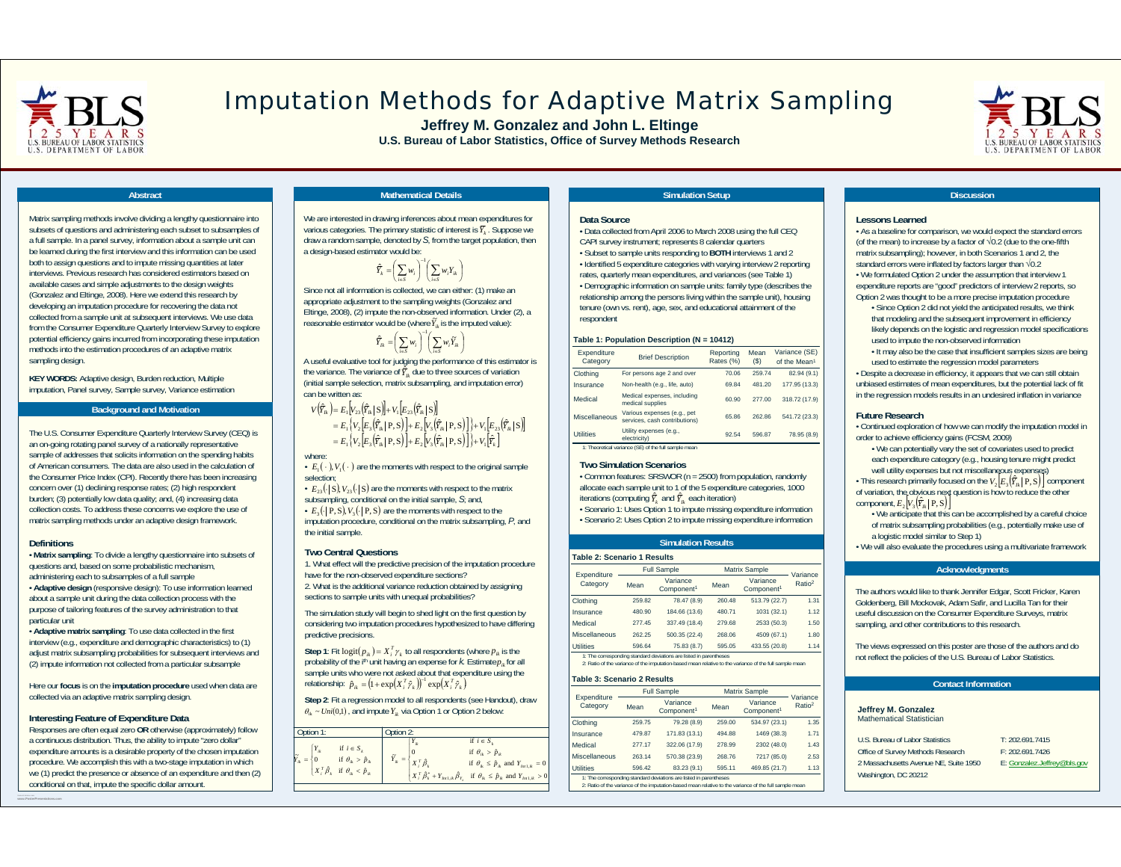

# Imputation Methods for Adaptive Matrix Sampling

**Jeffrey M. Gonzalez and John L. Eltinge U.S. Bureau of Labor Statistics, Office of Survey Methods Research**



### **Abstract**

Matrix sampling methods involve dividing a lengthy questionnaire into subsets of questions and administering each subset to subsamples of a full sample. In a panel survey, information about a sample unit can be learned during the first interview and this information can be used both to assign questions and to impute missing quantities at later interviews. Previous research has considered estimators based onavailable cases and simple adjustments to the design weights (Gonzalez and Eltinge, 2008). Here we extend this research by developing an imputation procedure for recovering the data not collected from a sample unit at subsequent interviews. We use data from the Consumer Expenditure Quarterly Interview Survey to explore potential efficiency gains incurred from incorporating these imputation methods into the estimation procedures of an adaptive matrix sampling design.

**KEY WORDS:** Adaptive design, Burden reduction, Multiple imputation, Panel survey, Sample survey, Variance estimation

#### **Background and Motivation**

The U.S. Consumer Expenditure Quarterly Interview Survey (CEQ) is an on-going rotating panel survey of a nationally representative sample of addresses that solicits information on the spending habits of American consumers. The data are also used in the calculation of the Consumer Price Index (CPI). Recently there has been increasing concern over (1) declining response rates; (2) high respondent burden; (3) potentially low data quality; and, (4) increasing data collection costs. To address these concerns we explore the use of matrix sampling methods under an adaptive design framework.

#### **Definitions**

• **Matrix sampling**: To divide a lengthy questionnaire into subsets of questions and, based on some probabilistic mechanism, administering each to subsamples of a full sample • **Adaptive design** (responsive design): To use information learned about a sample unit during the data collection process with the purpose of tailoring features of the survey administration to that particular unit

• **Adaptive matrix sampling**: To use data collected in the first interview (e.g., expenditure and demographic characteristics) to (1) adjust matrix subsampling probabilities for subsequent interviews and (2) impute information not collected from a particular subsample

Here our **focus** is on the **imputation procedure** used when data are collected via an adaptive matrix sampling design.

#### **Interesting Feature of Expenditure Data**

Responses are often equal zero **OR** otherwise (approximately) follow a continuous distribution. Thus, the ability to impute "zero dollar" expenditure amounts is a desirable property of the chosen imputation procedure. We accomplish this with a two-stage imputation in which we (1) predict the presence or absence of an expenditure and then (2) conditional on that, impute the specific dollar amount.

### **Mathematical Details**

We are interested in drawing inferences about mean expenditures for various categories. The primary statistic of interest is  $\bar{Y}_k$  . Suppose we draw a random sample, denoted by *S*, from the target population, then a design-based estimator would be:

J

$$
\widehat{Y}_k = \left(\sum_{i \in S} w_i\right)^{-1} \left(\sum_{i \in S} w_i Y_{ik}\right)
$$

Since not all information is collected, we can either: (1) make an appropriate adjustment to the sampling weights (Gonzalez and Eltinge, 2008), (2) impute the non-observed information. Under (2), a reasonable estimator would be (where  $\widetilde{Y}_{ik}$  is the imputed value):

> J J  $\int^{\frac{1}{2}} \left( \sum_{i \in S} w_i \widetilde{Y}_{ik} \right)$  $\left(\sum_{i\in S} w_i\right)$  $\hat{\overline{Y}}_k = \left(\sum_{i \in S} w_i\right)^{-1} \left(\sum_{i \in S} w_i \widetilde{Y}_i\right)$

A useful evaluative tool for judging the performance of this estimator is the variance. The variance of  $\hat{Y}_n$  due to three sources of variation (initial sample selection, matrix subsampling, and imputation error) can be written as:

 $V(\hat{\bar{Y}}_n) = E_1[V_{23}(\hat{\bar{Y}}_n \mid S)] + V_1[E_{23}(\hat{\bar{Y}}_n \mid S)]$  $\big\{V_{2}\big[E_{3}\big(\widehat{\varUpsilon}_{n}\big|\,\mathbf{P},\mathbf{S}\big)\big]\!\!+\!E_{2}\big[V_{3}\big(\widehat{\varUpsilon}_{n}\big|\,\mathbf{P},\mathbf{S}\big)\big]\big\}\!\!+\!V_{1}\big[E_{23}\big(\widehat{\varUpsilon}_{n}\big|\,\mathbf{S}\big)\big]$  $\left\{ V_2 \left[ E_3(\hat{r}_R | P, S) \right] + E_2 \left[ V_3(\hat{r}_R | P, S) \right] \right\} + V_1 \left[ \hat{r}_2 \right]$  $E_1$ <sup>*Y*</sup>,  $|E_2$ *Y*<sub>n</sub> | **P**, *S*) | + *E*<sub>2</sub>*V*<sub>1</sub>*Y*<sub>n</sub><sup></sup> | **P**, **S**) |  $\}$ +*V*<sub>1</sub>*Y*<sub>1</sub>  $E_1\{V_2[E_3|Y_{ik}|P,S]\} + E_2[V_3|Y_{ik}|P,S]\} + V_1[E_{23}|Y_{ik}|E_1|Y_{ik}|P,S]\} + V_2[E_3|\hat{Y}_{ik}|P,S]\} + V_3[\hat{F}_k]$  $\left|\hat{Y}_n\right|P,S\right|+E_{\gamma}\left|V_{\gamma}\left(\hat{Y}_n\right|P,S\right)\right|+V_{\gamma}\left|E_{\gamma 2}\left(\hat{Y}_n\right|S\right)$ 1  $\binom{1}{2}$   $\binom{2}{2}$   $\binom{3}{2}$   $\binom{4}{3}$   $\binom{1}{2}$   $\binom{3}{2}$   $\binom{4}{3}$   $\binom{4}{1}$   $\binom{5}{1}$   $\binom{7}{1}$  $1$   $\binom{3}{2}$   $\binom{2}{3}$   $\binom{3}{k}$   $\binom{4}{k}$   $\binom{1}{2}$   $\binom{3}{k}$   $\binom{4}{k}$   $\binom{1}{2}$   $\binom{1}{2}$   $\binom{1}{2}$   $\binom{2}{3}$  $E = E_1 |V_2| E_2 |Y_n| |P, S| + E_2 |V_2| |Y_n| |P, S|$  $E = E_1 |V_2| E_2 |Y_n| |P, S| + E_2 |V_2| |Y_n| |P, S|$ where:

 $\cdot$   $E_1(\cdot)$ ,  $V_1(\cdot)$  are the moments with respect to the original sample selection;

 $\cdot$   $E_{23}(\cdot | S)$ ,  $V_{23}(\cdot | S)$  are the moments with respect to the matrix subsampling, conditional on the initial sample, *S*; and,

•  $E_3(\cdot | P, S)$ ,  $V_3(\cdot | P, S)$  are the moments with respect to the

imputation procedure, conditional on the matrix subsampling, *P*, and the initial sample.

#### **Two Central Questions**

1. What effect will the predictive precision of the imputation procedure have for the non-observed expenditure sections?

2. What is the additional variance reduction obtained by assigning sections to sample units with unequal probabilities?

The simulation study will begin to shed light on the first question by considering two imputation procedures hypothesized to have differing predictive precisions.

Step 1: Fit logit $(p_{ik}) = X_i^T \gamma_k$  to all respondents (where  $p_{ik}$  is the probability of the i<sup>th</sup> unit having an expense for  $k$ . Estimate $p_{ik}$  for all sample units who were not asked about that expenditure using the relationship:  $\hat{p}_{ik} = (1 + \exp(X_i^T \hat{\gamma}_k))^{-1} \exp(X_i^T \hat{\gamma}_k)$ 

**Step 2**: Fit a regression model to all respondents (see Handout), draw  $\theta_{ik} \sim Uni(0,1)$ , and impute  $Y_{ik}$  via Option 1 or Option 2 below:



#### t **Simulation Setup and Simulation Setup and Simulation Setup and Simulation Setup and Simulation Setup and Simulation Setup and Simulation Setup and Simulation Setup and Simulation Setup and Simulation Setup and Simulatio**

#### **Data Source**

• Data collected from April 2006 to March 2008 using the full CEQ CAPI survey instrument; represents 8 calendar quarters

• Subset to sample units responding to **BOTH** interviews 1 and 2 • Identified 5 expenditure categories with varying interview 2 reporting rates, quarterly mean expenditures, and variances (see Table 1) • Demographic information on sample units: family type (describes the relationship among the persons living within the sample unit), housing tenure (own vs. rent), age, sex, and educational attainment of the respondent

#### **Table 1: Population Description (N = 10412)**

| <b>Brief Description</b>                                     | Reporting<br>Rates (%) | Mean<br>$($ \$) | Variance (SE)<br>of the Mean <sup>1</sup> |
|--------------------------------------------------------------|------------------------|-----------------|-------------------------------------------|
| For persons age 2 and over                                   | 70.06                  | 259.74          | 82.94 (9.1)                               |
| Non-health (e.g., life, auto)                                | 69.84                  | 481.20          | 177.95 (13.3)                             |
| Medical expenses, including<br>medical supplies              | 60.90                  | 277.00          | 318.72 (17.9)                             |
| Various expenses (e.g., pet<br>services, cash contributions) | 65.86                  | 262.86          | 541.72 (23.3)                             |
| Utility expenses (e.g.,<br>electricity)                      | 92.54                  | 596.87          | 78.95 (8.9)                               |
|                                                              |                        |                 |                                           |

#### **Two Simulation Scenarios**

• Common features: SRSWOR (n = 2500) from population, randomly allocate each sample unit to 1 of the 5 expenditure categories, 1000 iterations (computing  $\widehat{Y}_k$  and  $\widehat{Y}_k$  each iteration)

• Scenario 1: Uses Option 1 to impute missing expenditure information

• Scenario 2: Uses Option 2 to impute missing expenditure information

### **Simulation Results**

| <b>Table 2: Scenario 1 Results</b>                                 |                    |                                    |                      |                                    |                    |
|--------------------------------------------------------------------|--------------------|------------------------------------|----------------------|------------------------------------|--------------------|
| Expenditure                                                        | <b>Full Sample</b> |                                    | <b>Matrix Sample</b> |                                    | Variance           |
| Category                                                           | Mean               | Variance<br>Component <sup>1</sup> | Mean                 | Variance<br>Component <sup>1</sup> | Ratio <sup>2</sup> |
| Clothing                                                           | 259.82             | 78.47 (8.9)                        | 260.48               | 513.79 (22.7)                      | 1.31               |
| Insurance                                                          | 480.90             | 184.66 (13.6)                      | 480.71               | 1031 (32.1)                        | 1.12               |
| Medical                                                            | 277.45             | 337.49 (18.4)                      | 279.68               | 2533 (50.3)                        | 1.50               |
| Miscellaneous                                                      | 262.25             | 500.35 (22.4)                      | 268.06               | 4509 (67.1)                        | 1.80               |
| <b>Utilities</b>                                                   | 596.64             | 75.83 (8.7)                        | 595.05               | 433.55 (20.8)                      | 1.14               |
| 1: The corresponding standard deviations are listed in parentheses |                    |                                    |                      |                                    |                    |

1: The corresponding standard deviations are listed in parentheses 2: Ratio of the variance of the imputation-based mean relative to the variance of the full sample mean

#### **Table 3: Scenario 2 Results**

| Expenditure                                                                                                                                                                  | <b>Full Sample</b> |                                    | <b>Matrix Sample</b>                       |               | Variance           |
|------------------------------------------------------------------------------------------------------------------------------------------------------------------------------|--------------------|------------------------------------|--------------------------------------------|---------------|--------------------|
| Category                                                                                                                                                                     | Mean               | Variance<br>Component <sup>1</sup> | Variance<br>Mean<br>Component <sup>1</sup> |               | Ratio <sup>2</sup> |
| Clothing                                                                                                                                                                     | 259.75             | 79.28 (8.9)                        | 259.00                                     | 534.97 (23.1) | 1.35               |
| Insurance                                                                                                                                                                    | 479.87             | 171.83 (13.1)                      | 494.88                                     | 1469 (38.3)   | 1.71               |
| Medical                                                                                                                                                                      | 277.17             | 322.06 (17.9)                      | 278.99                                     | 2302 (48.0)   | 1.43               |
| Miscellaneous                                                                                                                                                                | 263.14             | 570.38 (23.9)                      | 268.76                                     | 7217 (85.0)   | 2.53               |
| <b>Utilities</b>                                                                                                                                                             | 596.42             | 83.23 (9.1)                        | 595.11                                     | 469.85 (21.7) | 1.13               |
| 1: The corresponding standard deviations are listed in parentheses<br>2: Ratio of the variance of the imputation-based mean relative to the variance of the full sample mean |                    |                                    |                                            |               |                    |

#### **Lessons Learned**

• As a baseline for comparison, we would expect the standard errors (of the mean) to increase by a factor of √0.2 (due to the one-fifth matrix subsampling); however, in both Scenarios 1 and 2, the standard errors were inflated by factors larger than √0.2 • We formulated Option 2 under the assumption that interview 1 expenditure reports are "good" predictors of interview 2 reports, so Option 2 was thought to be a more precise imputation procedure

• Since Option 2 did not yield the anticipated results, we think that modeling and the subsequent improvement in efficiency likely depends on the logistic and regression model specifications used to impute the non-observed information

• It may also be the case that insufficient samples sizes are being used to estimate the regression model parameters

• Despite a decrease in efficiency, it appears that we can still obtain unbiased estimates of mean expenditures, but the potential lack of fit in the regression models results in an undesired inflation in variance

#### **Future Research**

 • Continued exploration of how we can modify the imputation model in order to achieve efficiency gains (FCSM, 2009)

• We can potentially vary the set of covariates used to predict each expenditure category (e.g., housing tenure might predict well utility expenses but not miscellaneous expenses)

• This research primarily focused on the  $V_2\left[E_3(\hat{Y}_R|P,S)\right]$  component of variation, the obvious next question is how to reduce the other  $\text{component}, E_2\left[V_3\left(\hat{\bar{Y}}_R\mid \mathbf{P}, \mathbf{S}\right)\right]$ 

- We anticipate that this can be accomplished by a careful choice of matrix subsampling probabilities (e.g., potentially make use of a logistic model similar to Step 1)
- We will also evaluate the procedures using a multivariate framework

#### **Acknowledgments**

The authors would like to thank Jennifer Edgar, Scott Fricker, Karen Goldenberg, Bill Mockovak, Adam Safir, and Lucilla Tan for their useful discussion on the Consumer Expenditure Surveys, matrix sampling, and other contributions to this research.

The views expressed on this poster are those of the authors and do not reflect the policies of the U.S. Bureau of Labor Statistics.

#### **Contact Information**

#### **Jeffrey M. Gonzalez** Mathematical Statistician

| U.S. Bureau of Labor Statistics       | T: 202.691.7415   |
|---------------------------------------|-------------------|
| Office of Survey Methods Research     | F: 202.691.7426   |
| 2 Massachusetts Avenue NE, Suite 1950 | E: Gonzalez, Jeff |
| Washington, DC 20212                  |                   |
|                                       |                   |

691.7426 zalez.Jeffrey@bls.gov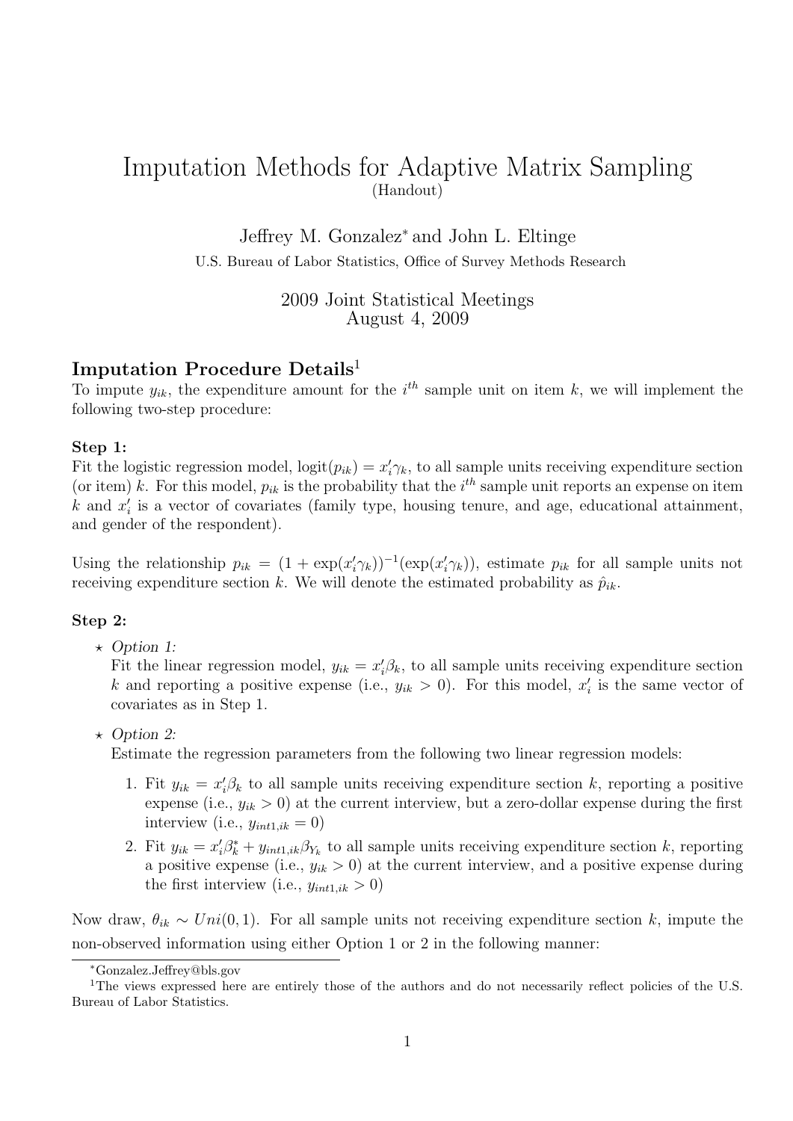## Imputation Methods for Adaptive Matrix Sampling (Handout)

Jeffrey M. Gonzalez<sup>∗</sup> and John L. Eltinge

U.S. Bureau of Labor Statistics, Office of Survey Methods Research

2009 Joint Statistical Meetings August 4, 2009

## Imputation Procedure Details<sup>1</sup>

To impute  $y_{ik}$ , the expenditure amount for the  $i<sup>th</sup>$  sample unit on item k, we will implement the following two-step procedure:

## Step 1:

Fit the logistic regression model,  $logit(p_{ik}) = x'_i \gamma_k$ , to all sample units receiving expenditure section (or item) k. For this model,  $p_{ik}$  is the probability that the  $i<sup>th</sup>$  sample unit reports an expense on item  $k$  and  $x'_{i}$  is a vector of covariates (family type, housing tenure, and age, educational attainment, and gender of the respondent).

Using the relationship  $p_{ik} = (1 + \exp(x'_i \gamma_k))^{-1}(\exp(x'_i \gamma_k))$ , estimate  $p_{ik}$  for all sample units not receiving expenditure section k. We will denote the estimated probability as  $\hat{p}_{ik}$ .

## Step 2:

 $\star$  Option 1:

Fit the linear regression model,  $y_{ik} = x'_i \beta_k$ , to all sample units receiving expenditure section k and reporting a positive expense (i.e.,  $y_{ik} > 0$ ). For this model,  $x'_i$  is the same vector of covariates as in Step 1.

 $\star$  Option 2:

Estimate the regression parameters from the following two linear regression models:

- 1. Fit  $y_{ik} = x'_i \beta_k$  to all sample units receiving expenditure section k, reporting a positive expense (i.e.,  $y_{ik} > 0$ ) at the current interview, but a zero-dollar expense during the first interview (i.e.,  $y_{int1,ik} = 0$ )
- 2. Fit  $y_{ik} = x'_i \beta^*_k + y_{int1,ik} \beta_{Y_k}$  to all sample units receiving expenditure section k, reporting a positive expense (i.e.,  $y_{ik} > 0$ ) at the current interview, and a positive expense during the first interview (i.e.,  $y_{int1,ik} > 0$ )

Now draw,  $\theta_{ik} \sim Uni(0, 1)$ . For all sample units not receiving expenditure section k, impute the non-observed information using either Option 1 or 2 in the following manner:

<sup>∗</sup>Gonzalez.Jeffrey@bls.gov

<sup>&</sup>lt;sup>1</sup>The views expressed here are entirely those of the authors and do not necessarily reflect policies of the U.S. Bureau of Labor Statistics.